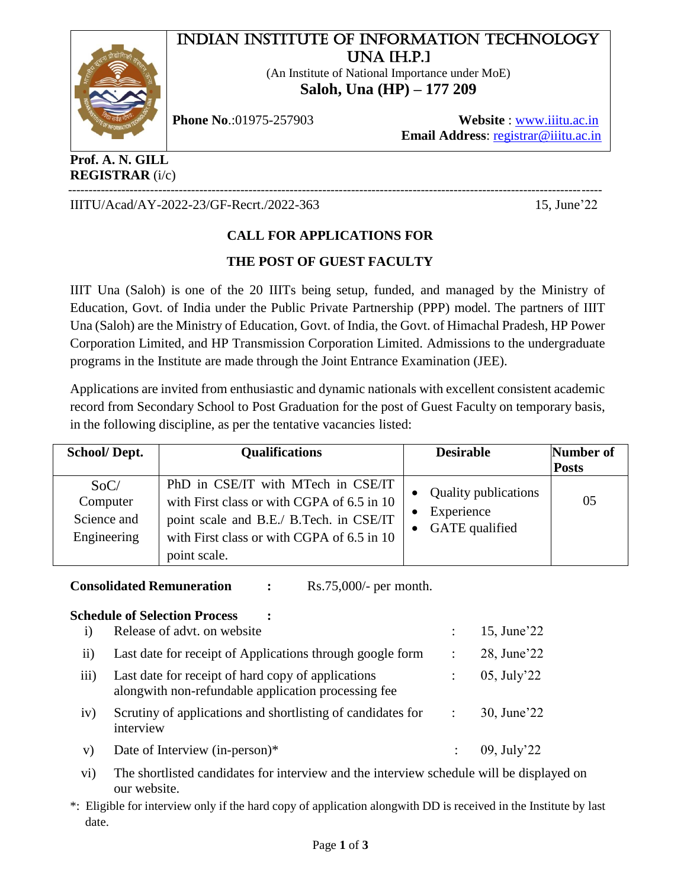# INDIAN INSTITUTE OF INFORMATION TECHNOLOGY UNA [H.P.]

(An Institute of National Importance under MoE) **Saloh, Una (HP) – 177 209**



**Phone No**.:01975-257903 **Website** : [www.iiitu.ac.in](http://www.iiitu.ac.in/)  **Email Address**: [registrar@iiitu.ac.in](mailto:aeecivil@iiitu.ac.in)

**Prof. A. N. GILL REGISTRAR** (i/c)

---------------------------------------------------------------------------------------------------------------------------------- IIITU/Acad/AY-2022-23/GF-Recrt./2022-363 15, June'22

## **CALL FOR APPLICATIONS FOR**

## **THE POST OF GUEST FACULTY**

IIIT Una (Saloh) is one of the 20 IIITs being setup, funded, and managed by the Ministry of Education, Govt. of India under the Public Private Partnership (PPP) model. The partners of IIIT Una (Saloh) are the Ministry of Education, Govt. of India, the Govt. of Himachal Pradesh, HP Power Corporation Limited, and HP Transmission Corporation Limited. Admissions to the undergraduate programs in the Institute are made through the Joint Entrance Examination (JEE).

Applications are invited from enthusiastic and dynamic nationals with excellent consistent academic record from Secondary School to Post Graduation for the post of Guest Faculty on temporary basis, in the following discipline, as per the tentative vacancies listed:

| School/Dept.                                   | <b>Qualifications</b>                                                                                                                                                                     | <b>Desirable</b>                                            | Number of<br><b>Posts</b> |
|------------------------------------------------|-------------------------------------------------------------------------------------------------------------------------------------------------------------------------------------------|-------------------------------------------------------------|---------------------------|
| SoC/<br>Computer<br>Science and<br>Engineering | PhD in CSE/IT with MTech in CSE/IT<br>with First class or with CGPA of 6.5 in 10<br>point scale and B.E./ B.Tech. in CSE/IT<br>with First class or with CGPA of 6.5 in 10<br>point scale. | <b>Quality publications</b><br>Experience<br>GATE qualified | 05                        |

**Consolidated Remuneration :** Rs.75,000/- per month.

#### **Schedule of Selection Process :**

| $\mathbf{i}$ | Release of advt. on website                                                                               | 15, June'22    |
|--------------|-----------------------------------------------------------------------------------------------------------|----------------|
| $\rm ii)$    | Last date for receipt of Applications through google form                                                 | 28, June'22    |
| iii)         | Last date for receipt of hard copy of applications<br>alongwith non-refundable application processing fee | $05$ , July'22 |
| iv)          | Scrutiny of applications and shortlisting of candidates for<br>interview                                  | 30, June'22    |
| V)           | Date of Interview (in-person)*                                                                            | 09, July'22    |

vi) The shortlisted candidates for interview and the interview schedule will be displayed on our website.

\*: Eligible for interview only if the hard copy of application alongwith DD is received in the Institute by last date.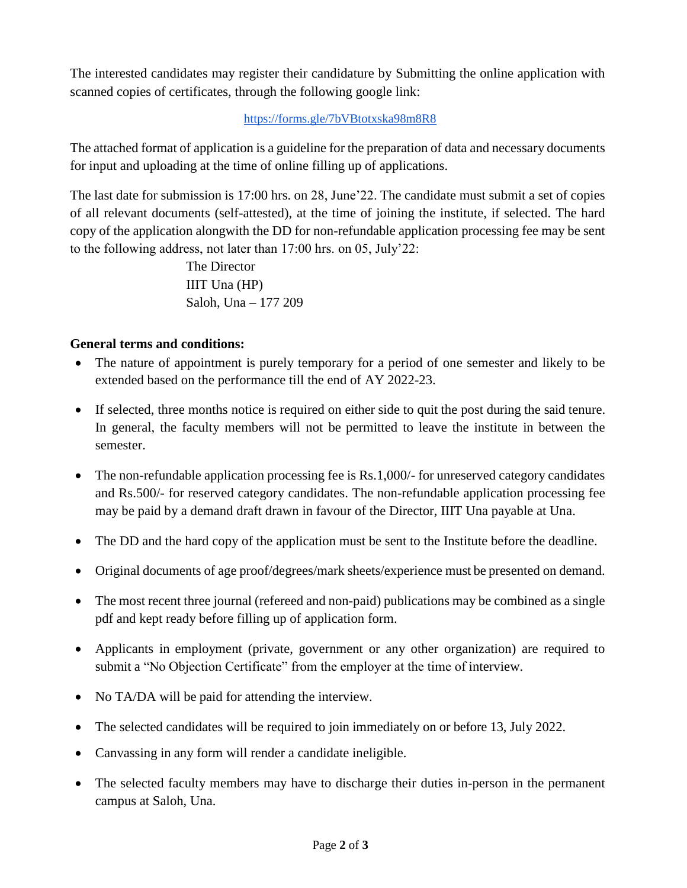The interested candidates may register their candidature by Submitting the online application with scanned copies of certificates, through the following google link:

## <https://forms.gle/7bVBtotxska98m8R8>

The attached format of application is a guideline for the preparation of data and necessary documents for input and uploading at the time of online filling up of applications.

The last date for submission is 17:00 hrs. on 28, June'22. The candidate must submit a set of copies of all relevant documents (self-attested), at the time of joining the institute, if selected. The hard copy of the application alongwith the DD for non-refundable application processing fee may be sent to the following address, not later than 17:00 hrs. on 05, July'22:

> The Director IIIT Una (HP) Saloh, Una – 177 209

## **General terms and conditions:**

- The nature of appointment is purely temporary for a period of one semester and likely to be extended based on the performance till the end of AY 2022-23.
- If selected, three months notice is required on either side to quit the post during the said tenure. In general, the faculty members will not be permitted to leave the institute in between the semester.
- The non-refundable application processing fee is Rs.1,000/- for unreserved category candidates and Rs.500/- for reserved category candidates. The non-refundable application processing fee may be paid by a demand draft drawn in favour of the Director, IIIT Una payable at Una.
- The DD and the hard copy of the application must be sent to the Institute before the deadline.
- Original documents of age proof/degrees/mark sheets/experience must be presented on demand.
- The most recent three journal (refereed and non-paid) publications may be combined as a single pdf and kept ready before filling up of application form.
- Applicants in employment (private, government or any other organization) are required to submit a "No Objection Certificate" from the employer at the time of interview.
- No TA/DA will be paid for attending the interview.
- The selected candidates will be required to join immediately on or before 13, July 2022.
- Canvassing in any form will render a candidate ineligible.
- The selected faculty members may have to discharge their duties in-person in the permanent campus at Saloh, Una.